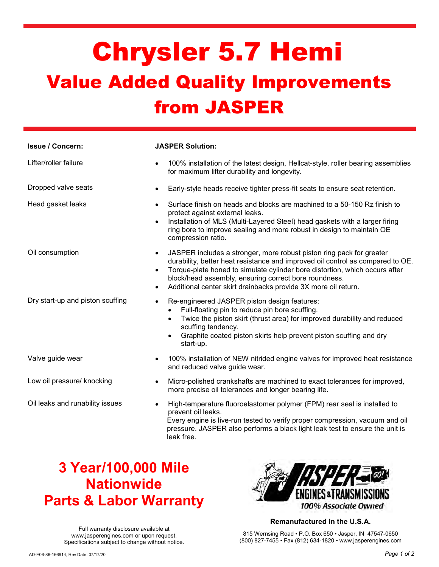# Chrysler 5.7 Hemi Value Added Quality Improvements from JASPER

| <b>Issue / Concern:</b>          | <b>JASPER Solution:</b>                                                                                                                                                                                                                                                                                                                                                                    |
|----------------------------------|--------------------------------------------------------------------------------------------------------------------------------------------------------------------------------------------------------------------------------------------------------------------------------------------------------------------------------------------------------------------------------------------|
| Lifter/roller failure            | 100% installation of the latest design, Hellcat-style, roller bearing assemblies<br>for maximum lifter durability and longevity.                                                                                                                                                                                                                                                           |
| Dropped valve seats              | Early-style heads receive tighter press-fit seats to ensure seat retention.                                                                                                                                                                                                                                                                                                                |
| Head gasket leaks                | Surface finish on heads and blocks are machined to a 50-150 Rz finish to<br>protect against external leaks.<br>Installation of MLS (Multi-Layered Steel) head gaskets with a larger firing<br>$\bullet$<br>ring bore to improve sealing and more robust in design to maintain OE<br>compression ratio.                                                                                     |
| Oil consumption                  | JASPER includes a stronger, more robust piston ring pack for greater<br>$\bullet$<br>durability, better heat resistance and improved oil control as compared to OE.<br>Torque-plate honed to simulate cylinder bore distortion, which occurs after<br>block/head assembly, ensuring correct bore roundness.<br>Additional center skirt drainbacks provide 3X more oil return.<br>$\bullet$ |
| Dry start-up and piston scuffing | Re-engineered JASPER piston design features:<br>$\bullet$<br>Full-floating pin to reduce pin bore scuffing.<br>$\bullet$<br>Twice the piston skirt (thrust area) for improved durability and reduced<br>$\bullet$<br>scuffing tendency.<br>Graphite coated piston skirts help prevent piston scuffing and dry<br>$\bullet$<br>start-up.                                                    |
| Valve guide wear                 | 100% installation of NEW nitrided engine valves for improved heat resistance<br>and reduced valve guide wear.                                                                                                                                                                                                                                                                              |
| Low oil pressure/ knocking       | Micro-polished crankshafts are machined to exact tolerances for improved,<br>$\bullet$<br>more precise oil tolerances and longer bearing life.                                                                                                                                                                                                                                             |
| Oil leaks and runability issues  | High-temperature fluoroelastomer polymer (FPM) rear seal is installed to<br>prevent oil leaks.<br>Every engine is live-run tested to verify proper compression, vacuum and oil<br>pressure. JASPER also performs a black light leak test to ensure the unit is<br>leak free.                                                                                                               |

## 3 Year/100,000 Mile **Nationwide** Parts & Labor Warranty



### Remanufactured in the U.S.A.

Full warranty disclosure available at www.jasperengines.com or upon request. Specifications subject to change without notice.

815 Wernsing Road • P.O. Box 650 • Jasper, IN 47547-0650 (800) 827-7455 • Fax (812) 634-1820 • www.jasperengines.com